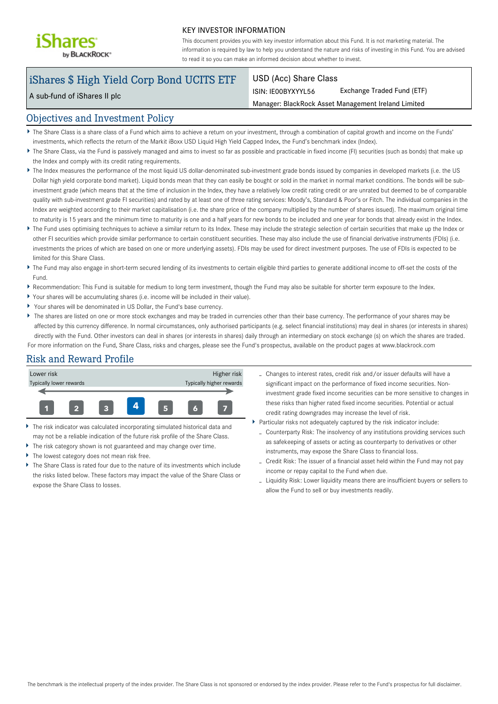

#### KEY INVESTOR INFORMATION

This document provides you with key investor information about this Fund. It is not marketing material. The information is required by law to help you understand the nature and risks of investing in this Fund. You are advised to read it so you can make an informed decision about whether to invest.

# iShares \$ High Yield Corp Bond UCITS ETF

A sub-fund of iShares II plc

### USD (Acc) Share Class

ISIN: IE00BYXYYL56 Exchange Traded Fund (ETF)

Manager: BlackRock Asset Management Ireland Limited

## Objectives and Investment Policy

- The Share Class is a share class of a Fund which aims to achieve a return on your investment, through a combination of capital growth and income on the Funds' investments, which reflects the return of the Markit iBoxx USD Liquid High Yield Capped Index, the Fund's benchmark index (Index).
- ▶ The Share Class, via the Fund is passively managed and aims to invest so far as possible and practicable in fixed income (FI) securities (such as bonds) that make up the Index and comply with its credit rating requirements.
- The Index measures the performance of the most liquid US dollar-denominated sub-investment grade bonds issued by companies in developed markets (i.e. the US Dollar high yield corporate bond market). Liquid bonds mean that they can easily be bought or sold in the market in normal market conditions. The bonds will be subinvestment grade (which means that at the time of inclusion in the Index, they have a relatively low credit rating credit or are unrated but deemed to be of comparable quality with sub-investment grade FI securities) and rated by at least one of three rating services: Moody's, Standard & Poor's or Fitch. The individual companies in the Index are weighted according to their market capitalisation (i.e. the share price of the company multiplied by the number of shares issued). The maximum original time to maturity is 15 years and the minimum time to maturity is one and a half years for new bonds to be included and one year for bonds that already exist in the Index.
- The Fund uses optimising techniques to achieve a similar return to its Index. These may include the strategic selection of certain securities that make up the Index or other FI securities which provide similar performance to certain constituent securities. These may also include the use of financial derivative instruments (FDIs) (i.e. investments the prices of which are based on one or more underlying assets). FDIs may be used for direct investment purposes. The use of FDIs is expected to be limited for this Share Class.
- ▶ The Fund may also engage in short-term secured lending of its investments to certain eligible third parties to generate additional income to off-set the costs of the Fund.
- Recommendation: This Fund is suitable for medium to long term investment, though the Fund may also be suitable for shorter term exposure to the Index.
- Your shares will be accumulating shares (i.e. income will be included in their value).
- Your shares will be denominated in US Dollar, the Fund's base currency.
- ▶ The shares are listed on one or more stock exchanges and may be traded in currencies other than their base currency. The performance of your shares may be affected by this currency difference. In normal circumstances, only authorised participants (e.g. select financial institutions) may deal in shares (or interests in shares) directly with the Fund. Other investors can deal in shares (or interests in shares) daily through an intermediary on stock exchange (s) on which the shares are traded. For more information on the Fund, Share Class, risks and charges, please see the Fund's prospectus, available on the product pages at www.blackrock.com

# Risk and Reward Profile



- The risk indicator was calculated incorporating simulated historical data and may not be a reliable indication of the future risk profile of the Share Class.
- The risk category shown is not guaranteed and may change over time.
- The lowest category does not mean risk free.
- The Share Class is rated four due to the nature of its investments which include the risks listed below. These factors may impact the value of the Share Class or expose the Share Class to losses.
- Changes to interest rates, credit risk and/or issuer defaults will have a significant impact on the performance of fixed income securities. Noninvestment grade fixed income securities can be more sensitive to changes in these risks than higher rated fixed income securities. Potential or actual credit rating downgrades may increase the level of risk.
- Particular risks not adequately captured by the risk indicator include:
	- Counterparty Risk: The insolvency of any institutions providing services such as safekeeping of assets or acting as counterparty to derivatives or other instruments, may expose the Share Class to financial loss.
	- Credit Risk: The issuer of a financial asset held within the Fund may not pay income or repay capital to the Fund when due.
	- Liquidity Risk: Lower liquidity means there are insufficient buyers or sellers to allow the Fund to sell or buy investments readily.